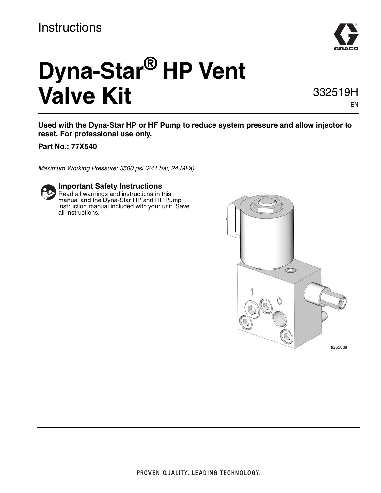### **Instructions**



# **Dyna-Star® HP Vent Valve Kit**

332519H

EN

**Used with the Dyna-Star HP or HF Pump to reduce system pressure and allow injector to reset. For professional use only.** 

**Part No.: 77X540**

*Maximum Working Pressure: 3500 psi (241 bar, 24 MPa)*



### **Important Safety Instructions**

Read all warnings and instructions in this manual and the Dyna-Star HP and HF Pump instruction manual included with your unit. Save all instructions.

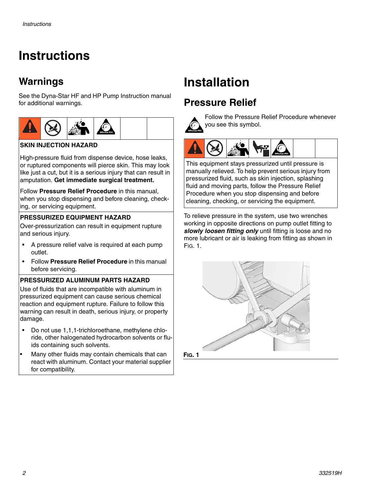### **Instructions**

### **Warnings**

See the Dyna-Star HF and HP Pump Instruction manual for additional warnings.



### **SKIN INJECTION HAZARD**

High-pressure fluid from dispense device, hose leaks, or ruptured components will pierce skin. This may look like just a cut, but it is a serious injury that can result in amputation. **Get immediate surgical treatment.** 

Follow **Pressure Relief Procedure** in this manual, when you stop dispensing and before cleaning, checking, or servicing equipment.

#### **PRESSURIZED EQUIPMENT HAZARD**

Over-pressurization can result in equipment rupture and serious injury.

- A pressure relief valve is required at each pump outlet.
- Follow **Pressure Relief Procedure** in this manual before servicing.

#### **PRESSURIZED ALUMINUM PARTS HAZARD**

Use of fluids that are incompatible with aluminum in pressurized equipment can cause serious chemical reaction and equipment rupture. Failure to follow this warning can result in death, serious injury, or property damage.

- Do not use 1,1,1-trichloroethane, methylene chloride, other halogenated hydrocarbon solvents or fluids containing such solvents.
- Many other fluids may contain chemicals that can react with aluminum. Contact your material supplier for compatibility.

## **Installation**

### <span id="page-1-1"></span>**Pressure Relief**



Follow the Pressure Relief Procedure whenever you see this symbol.



This equipment stays pressurized until pressure is manually relieved. To help prevent serious injury from pressurized fluid, such as skin injection, splashing fluid and moving parts, follow the Pressure Relief Procedure when you stop dispensing and before cleaning, checking, or servicing the equipment.

To relieve pressure in the system, use two wrenches working in opposite directions on pump outlet fitting to *slowly loosen fitting only* until fitting is loose and no more lubricant or air is leaking from fitting as shown in [FIG. 1](#page-1-0).



<span id="page-1-0"></span>**FIG. 1**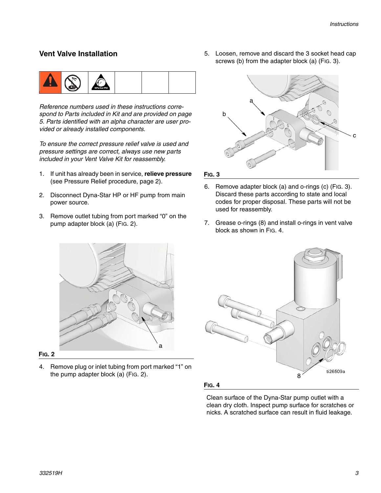#### **Vent Valve Installation**



*Reference numbers used in these instructions correspond to Parts included in Kit and are provided on page [5.](#page-4-0) Parts identified with an alpha character are user provided or already installed components.*

*To ensure the correct pressure relief valve is used and pressure settings are correct, always use new parts included in your Vent Valve Kit for reassembly.*

- 1. If unit has already been in service, **relieve pressure** (see Pressure Relief procedure, page [2](#page-1-1)).
- 2. Disconnect Dyna-Star HP or HF pump from main power source.
- 3. Remove outlet tubing from port marked "0" on the pump adapter block (a) [\(FIG. 2](#page-2-0)).

5. Loosen, remove and discard the 3 socket head cap screws (b) from the adapter block (a) [\(FIG. 3\)](#page-2-1).



<span id="page-2-1"></span>**FIG. 3**

- 6. Remove adapter block (a) and o-rings (c) [\(FIG. 3\)](#page-2-1). Discard these parts according to state and local codes for proper disposal. These parts will not be used for reassembly.
- 7. Grease o-rings (8) and install o-rings in vent valve block as shown in [FIG. 4](#page-2-2).



<span id="page-2-0"></span>**FIG. 2**

4. Remove plug or inlet tubing from port marked "1" on the pump adapter block (a) [\(FIG. 2\)](#page-2-0).



<span id="page-2-2"></span>**FIG. 4**

Clean surface of the Dyna-Star pump outlet with a clean dry cloth. Inspect pump surface for scratches or nicks. A scratched surface can result in fluid leakage.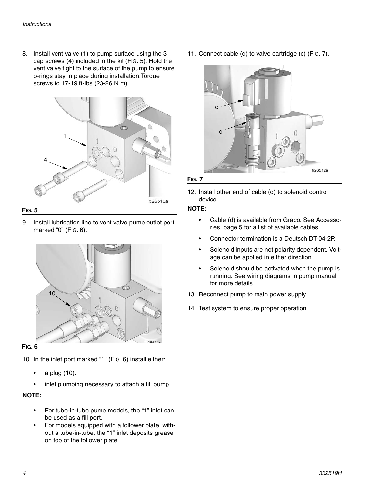8. Install vent valve (1) to pump surface using the 3 cap screws (4) included in the kit ([FIG. 5\)](#page-3-1). Hold the vent valve tight to the surface of the pump to ensure o-rings stay in place during installation.Torque screws to 17-19 ft-lbs (23-26 N.m).



#### <span id="page-3-1"></span>**FIG. 5**

9. Install lubrication line to vent valve pump outlet port marked "0" [\(FIG. 6](#page-3-0)).



#### <span id="page-3-0"></span>**FIG. 6**

10. In the inlet port marked "1" ([FIG. 6](#page-3-0)) install either:

- a plug (10).
- inlet plumbing necessary to attach a fill pump.

#### **NOTE:**

- For tube-in-tube pump models, the "1" inlet can be used as a fill port.
- For models equipped with a follower plate, without a tube-in-tube, the "1" inlet deposits grease on top of the follower plate.

11. Connect cable (d) to valve cartridge (c) ([FIG. 7](#page-3-2)).

![](_page_3_Picture_14.jpeg)

#### <span id="page-3-2"></span>**FIG. 7**

12. Install other end of cable (d) to solenoid control device.

#### **NOTE:**

- Cable (d) is available from Graco. See Accessories, page [5](#page-4-1) for a list of available cables.
- Connector termination is a Deutsch DT-04-2P.
- Solenoid inputs are not polarity dependent. Voltage can be applied in either direction.
- Solenoid should be activated when the pump is running. See wiring diagrams in pump manual for more details.
- 13. Reconnect pump to main power supply.
- 14. Test system to ensure proper operation.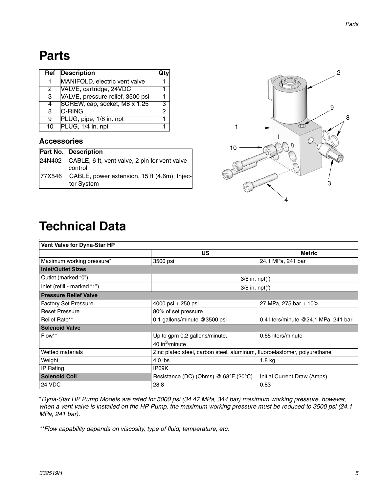### <span id="page-4-0"></span>**Parts**

|   | <b>Ref</b> Description           |  |
|---|----------------------------------|--|
|   | MANIFOLD, electric vent valve    |  |
| 2 | VALVE, cartridge, 24VDC          |  |
|   | VALVE, pressure relief, 3500 psi |  |
|   | SCREW, cap, socket, M8 x 1.25    |  |
| я | O-RING                           |  |
| 9 | PLUG, pipe, 1/8 in. npt          |  |
|   | 10 PLUG, 1/4 in. npt             |  |

#### <span id="page-4-1"></span>**Accessories**

.

| <b>Part No. Description</b>                                       |
|-------------------------------------------------------------------|
| 24N402 CABLE, 6 ft, vent valve, 2 pin for vent valve<br>control   |
| 77X546 CABLE, power extension, 15 ft (4.6m), Injec-<br>tor System |

![](_page_4_Figure_5.jpeg)

## **Technical Data**

| <b>Vent Valve for Dyna-Star HP</b> |                                      |                                                                          |  |  |  |
|------------------------------------|--------------------------------------|--------------------------------------------------------------------------|--|--|--|
|                                    | <b>US</b>                            | <b>Metric</b>                                                            |  |  |  |
| Maximum working pressure*          | 3500 psi                             | 24.1 MPa, 241 bar                                                        |  |  |  |
| <b>Inlet/Outlet Sizes</b>          |                                      |                                                                          |  |  |  |
| Outlet (marked "0")                |                                      | $3/8$ in. npt $(f)$                                                      |  |  |  |
| Inlet (refill - marked "1")        |                                      | $3/8$ in. npt $(f)$                                                      |  |  |  |
| <b>Pressure Relief Valve</b>       |                                      |                                                                          |  |  |  |
| <b>Factory Set Pressure</b>        | 4000 psi $\pm$ 250 psi               | 27 MPa, 275 bar + 10%                                                    |  |  |  |
| <b>Reset Pressure</b>              | 80% of set pressure                  |                                                                          |  |  |  |
| Relief Rate**                      | 0.1 gallons/minute @3500 psi         | 0.4 liters/minute @24.1 MPa. 241 bar                                     |  |  |  |
| <b>Solenoid Valve</b>              |                                      |                                                                          |  |  |  |
| Flow**                             | Up to gpm 0.2 gallons/minute,        | 0.65 liters/minute                                                       |  |  |  |
|                                    | 40 in $3$ /minute                    |                                                                          |  |  |  |
| Wetted materials                   |                                      | Zinc plated steel, carbon steel, aluminum, fluoroelastomer, polyurethane |  |  |  |
| Weight                             | $4.0$ lbs                            | 1.8 <sub>kg</sub>                                                        |  |  |  |
| IP Rating                          | IP69K                                |                                                                          |  |  |  |
| <b>Solenoid Coil</b>               | Resistance (DC) (Ohms) @ 68°F (20°C) | Initial Current Draw (Amps)                                              |  |  |  |
| 24 VDC                             | 28.8                                 | 0.83                                                                     |  |  |  |

\**Dyna-Star HP Pump Models are rated for 5000 psi (34.47 MPa, 344 bar) maximum working pressure, however, when a vent valve is installed on the HP Pump, the maximum working pressure must be reduced to 3500 psi (24.1 MPa, 241 bar).*

*\*\*Flow capability depends on viscosity, type of fluid, temperature, etc.*